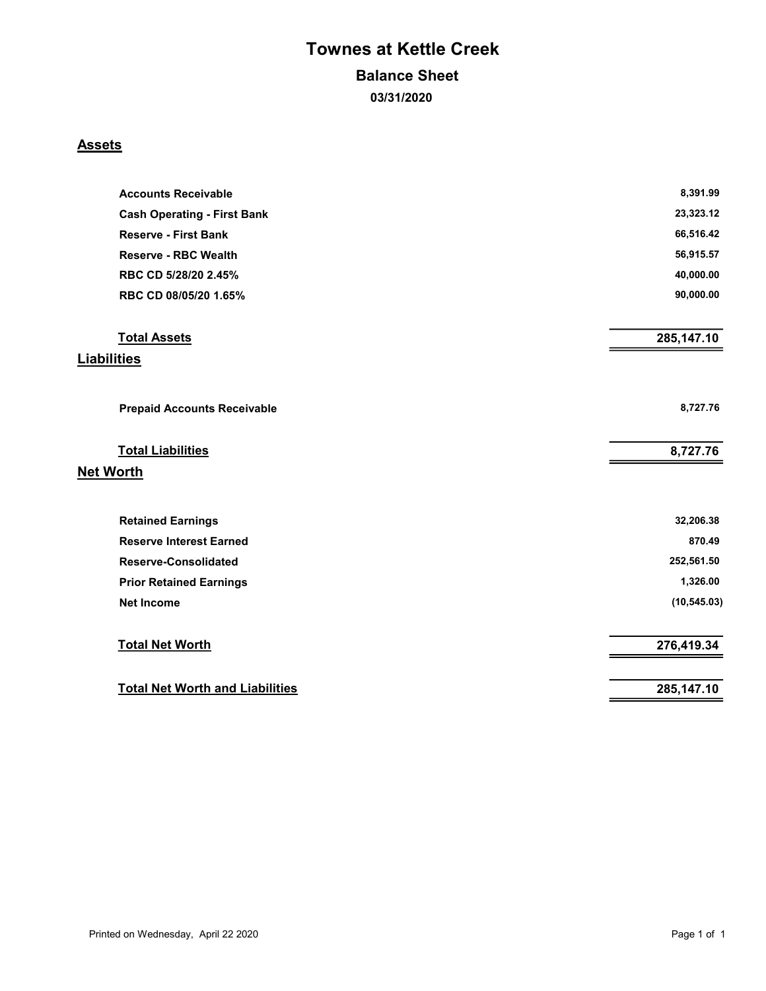# Townes at Kettle Creek

### Balance Sheet

03/31/2020

### **Assets**

| <b>Accounts Receivable</b>             | 8,391.99     |
|----------------------------------------|--------------|
| <b>Cash Operating - First Bank</b>     | 23,323.12    |
| <b>Reserve - First Bank</b>            | 66,516.42    |
| <b>Reserve - RBC Wealth</b>            | 56,915.57    |
| RBC CD 5/28/20 2.45%                   | 40,000.00    |
| RBC CD 08/05/20 1.65%                  | 90,000.00    |
| <b>Total Assets</b>                    | 285,147.10   |
| <b>Liabilities</b>                     |              |
| <b>Prepaid Accounts Receivable</b>     | 8,727.76     |
| <b>Total Liabilities</b>               | 8,727.76     |
| <b>Net Worth</b>                       |              |
| <b>Retained Earnings</b>               | 32,206.38    |
| <b>Reserve Interest Earned</b>         | 870.49       |
| <b>Reserve-Consolidated</b>            | 252,561.50   |
| <b>Prior Retained Earnings</b>         | 1,326.00     |
| <b>Net Income</b>                      | (10, 545.03) |
| <b>Total Net Worth</b>                 | 276,419.34   |
| <b>Total Net Worth and Liabilities</b> | 285,147.10   |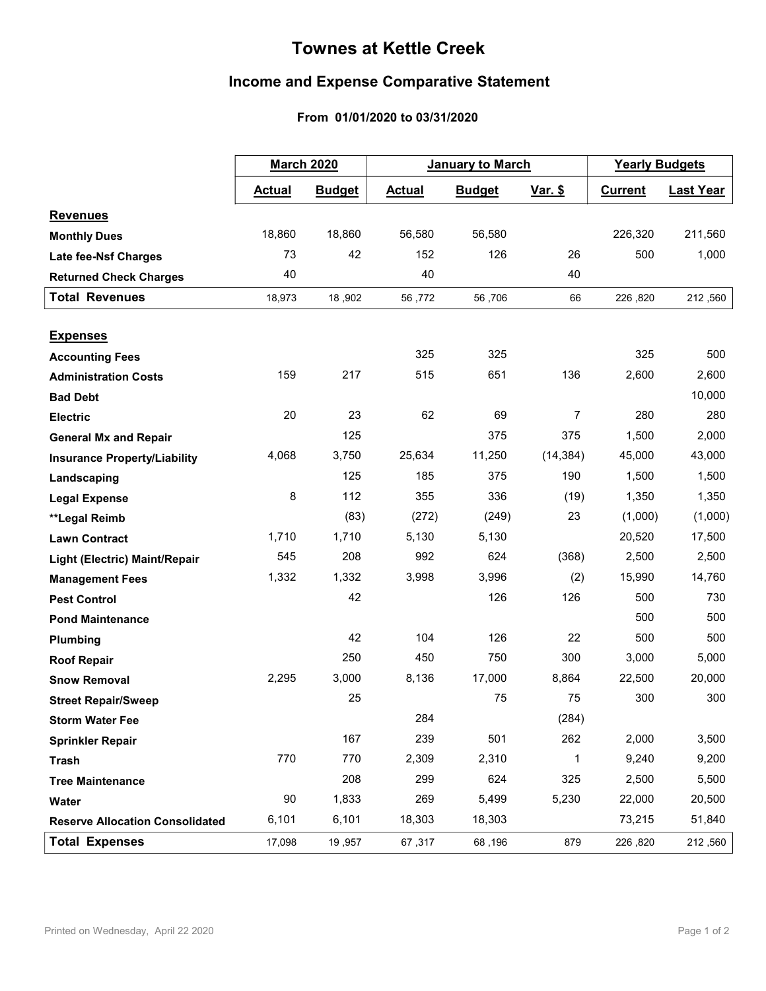## **Townes at Kettle Creek**

### **Income and Expense Comparative Statement**

### From 01/01/2020 to 03/31/2020

|                                        | <b>March 2020</b> |               | <b>January to March</b> |               |                | <b>Yearly Budgets</b> |                  |
|----------------------------------------|-------------------|---------------|-------------------------|---------------|----------------|-----------------------|------------------|
|                                        | <b>Actual</b>     | <b>Budget</b> | <b>Actual</b>           | <b>Budget</b> | <u>Var. \$</u> | <b>Current</b>        | <b>Last Year</b> |
| <b>Revenues</b>                        |                   |               |                         |               |                |                       |                  |
| <b>Monthly Dues</b>                    | 18,860            | 18,860        | 56,580                  | 56,580        |                | 226,320               | 211,560          |
| Late fee-Nsf Charges                   | 73                | 42            | 152                     | 126           | 26             | 500                   | 1,000            |
| <b>Returned Check Charges</b>          | 40                |               | 40                      |               | 40             |                       |                  |
| <b>Total Revenues</b>                  | 18,973            | 18,902        | 56,772                  | 56,706        | 66             | 226,820               | 212,560          |
|                                        |                   |               |                         |               |                |                       |                  |
| <b>Expenses</b>                        |                   |               |                         |               |                |                       |                  |
| <b>Accounting Fees</b>                 |                   |               | 325                     | 325           |                | 325                   | 500              |
| <b>Administration Costs</b>            | 159               | 217           | 515                     | 651           | 136            | 2,600                 | 2,600            |
| <b>Bad Debt</b>                        |                   |               |                         |               |                |                       | 10,000           |
| <b>Electric</b>                        | 20                | 23            | 62                      | 69            | 7              | 280                   | 280              |
| <b>General Mx and Repair</b>           |                   | 125           |                         | 375           | 375            | 1,500                 | 2,000            |
| <b>Insurance Property/Liability</b>    | 4,068             | 3,750         | 25,634                  | 11,250        | (14, 384)      | 45,000                | 43,000           |
| Landscaping                            |                   | 125           | 185                     | 375           | 190            | 1,500                 | 1,500            |
| <b>Legal Expense</b>                   | 8                 | 112           | 355                     | 336           | (19)           | 1,350                 | 1,350            |
| **Legal Reimb                          |                   | (83)          | (272)                   | (249)         | 23             | (1,000)               | (1,000)          |
| <b>Lawn Contract</b>                   | 1,710             | 1,710         | 5,130                   | 5,130         |                | 20,520                | 17,500           |
| Light (Electric) Maint/Repair          | 545               | 208           | 992                     | 624           | (368)          | 2,500                 | 2,500            |
| <b>Management Fees</b>                 | 1,332             | 1,332         | 3,998                   | 3,996         | (2)            | 15,990                | 14,760           |
| <b>Pest Control</b>                    |                   | 42            |                         | 126           | 126            | 500                   | 730              |
| <b>Pond Maintenance</b>                |                   |               |                         |               |                | 500                   | 500              |
| Plumbing                               |                   | 42            | 104                     | 126           | 22             | 500                   | 500              |
| <b>Roof Repair</b>                     |                   | 250           | 450                     | 750           | 300            | 3,000                 | 5,000            |
| <b>Snow Removal</b>                    | 2,295             | 3,000         | 8,136                   | 17,000        | 8,864          | 22,500                | 20,000           |
| <b>Street Repair/Sweep</b>             |                   | 25            |                         | 75            | 75             | 300                   | 300              |
| <b>Storm Water Fee</b>                 |                   |               | 284                     |               | (284)          |                       |                  |
| <b>Sprinkler Repair</b>                |                   | 167           | 239                     | 501           | 262            | 2,000                 | 3,500            |
| <b>Trash</b>                           | 770               | 770           | 2,309                   | 2,310         | $\mathbf{1}$   | 9,240                 | 9,200            |
| <b>Tree Maintenance</b>                |                   | 208           | 299                     | 624           | 325            | 2,500                 | 5,500            |
| Water                                  | 90                | 1,833         | 269                     | 5,499         | 5,230          | 22,000                | 20,500           |
| <b>Reserve Allocation Consolidated</b> | 6,101             | 6,101         | 18,303                  | 18,303        |                | 73,215                | 51,840           |
| <b>Total Expenses</b>                  | 17,098            | 19,957        | 67,317                  | 68,196        | 879            | 226,820               | 212,560          |